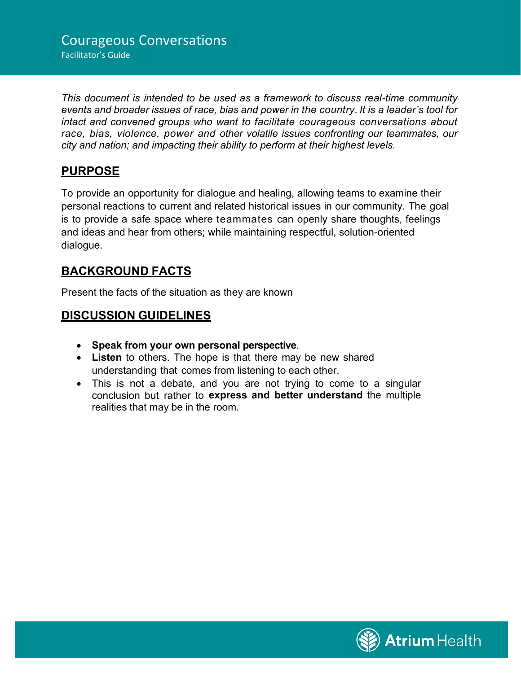*This document is intended to be used as a framework to discuss real-time community events and broader issues of race, bias and power in the country. It is a leader's tool for intact and convened groups who want to facilitate courageous conversations about race, bias, violence, power and other volatile issues confronting our teammates, our city and nation; and impacting their ability to perform at their highest levels.*

### **PURPOSE**

To provide an opportunity for dialogue and healing, allowing teams to examine their personal reactions to current and related historical issues in our community. The goal is to provide a safe space where teammates can openly share thoughts, feelings and ideas and hear from others; while maintaining respectful, solution-oriented dialogue.

### **BACKGROUND FACTS**

Present the facts of the situation as they are known

### **DISCUSSION GUIDELINES**

- **Speak from your own personal perspective**.
- **Listen** to others. The hope is that there may be new shared understanding that comes from listening to each other.
- This is not a debate, and you are not trying to come to a singular conclusion but rather to **express and better understand** the multiple realities that may be in the room.

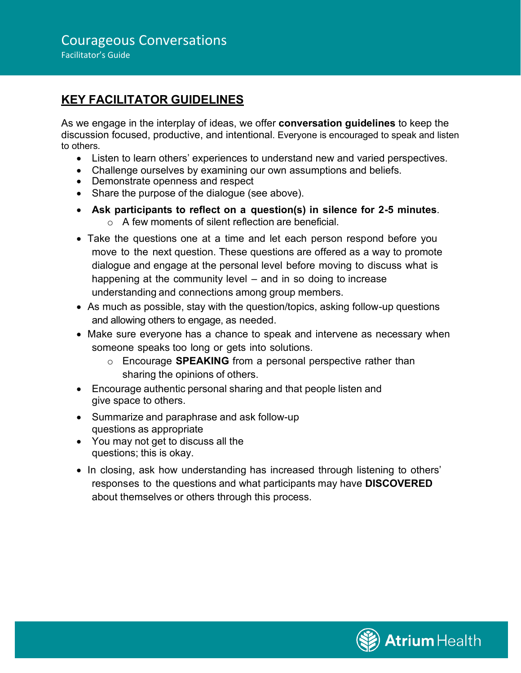## **KEY FACILITATOR GUIDELINES**

As we engage in the interplay of ideas, we offer **conversation guidelines** to keep the discussion focused, productive, and intentional. Everyone is encouraged to speak and listen to others.

- Listen to learn others' experiences to understand new and varied perspectives.
- Challenge ourselves by examining our own assumptions and beliefs.
- Demonstrate openness and respect
- Share the purpose of the dialogue (see above).
- **Ask participants to reflect on a question(s) in silence for 2-5 minutes**.  $\circ$  A few moments of silent reflection are beneficial.
- Take the questions one at a time and let each person respond before you move to the next question. These questions are offered as a way to promote dialogue and engage at the personal level before moving to discuss what is happening at the community level – and in so doing to increase understanding and connections among group members.
- As much as possible, stay with the question/topics, asking follow-up questions and allowing others to engage, as needed.
- Make sure everyone has a chance to speak and intervene as necessary when someone speaks too long or gets into solutions.
	- o Encourage **SPEAKING** from a personal perspective rather than sharing the opinions of others.
- Encourage authentic personal sharing and that people listen and give space to others.
- Summarize and paraphrase and ask follow-up questions as appropriate
- You may not get to discuss all the questions; this is okay.
- In closing, ask how understanding has increased through listening to others' responses to the questions and what participants may have **DISCOVERED** about themselves or others through this process.